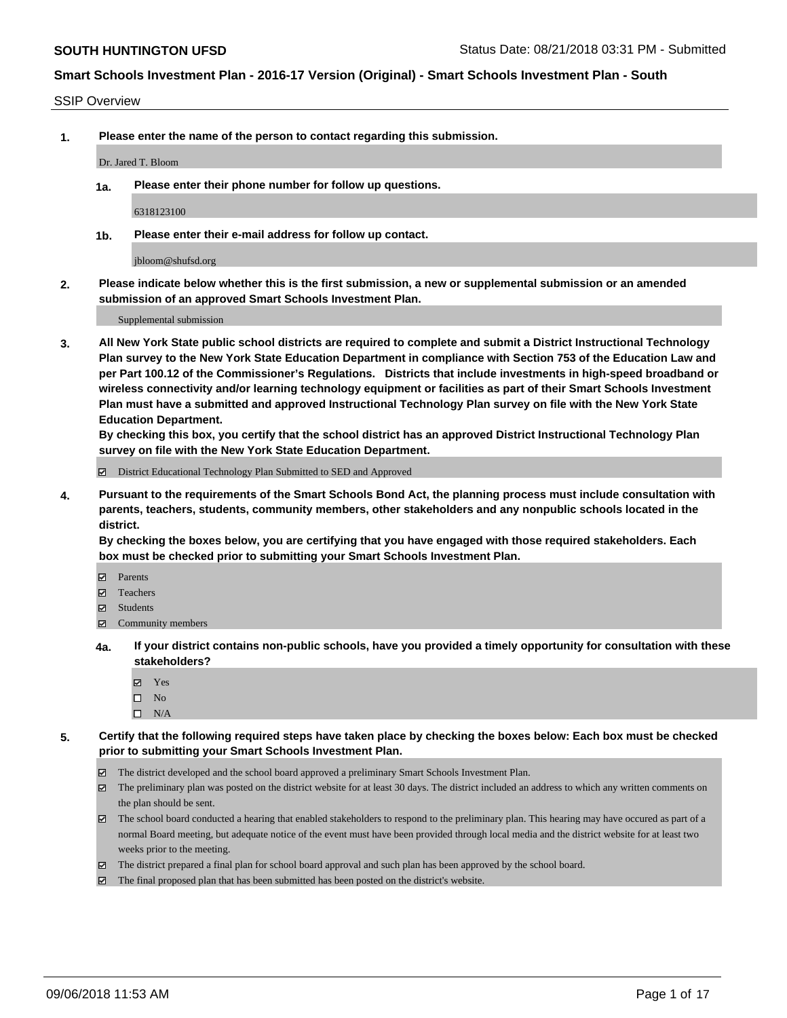#### SSIP Overview

**1. Please enter the name of the person to contact regarding this submission.**

#### Dr. Jared T. Bloom

**1a. Please enter their phone number for follow up questions.**

6318123100

**1b. Please enter their e-mail address for follow up contact.**

jbloom@shufsd.org

**2. Please indicate below whether this is the first submission, a new or supplemental submission or an amended submission of an approved Smart Schools Investment Plan.**

Supplemental submission

**3. All New York State public school districts are required to complete and submit a District Instructional Technology Plan survey to the New York State Education Department in compliance with Section 753 of the Education Law and per Part 100.12 of the Commissioner's Regulations. Districts that include investments in high-speed broadband or wireless connectivity and/or learning technology equipment or facilities as part of their Smart Schools Investment Plan must have a submitted and approved Instructional Technology Plan survey on file with the New York State Education Department.** 

**By checking this box, you certify that the school district has an approved District Instructional Technology Plan survey on file with the New York State Education Department.**

District Educational Technology Plan Submitted to SED and Approved

**4. Pursuant to the requirements of the Smart Schools Bond Act, the planning process must include consultation with parents, teachers, students, community members, other stakeholders and any nonpublic schools located in the district.** 

**By checking the boxes below, you are certifying that you have engaged with those required stakeholders. Each box must be checked prior to submitting your Smart Schools Investment Plan.**

- **Parents**
- Teachers
- **☑** Students
- **☑** Community members
- **4a. If your district contains non-public schools, have you provided a timely opportunity for consultation with these stakeholders?**
	- **Ø** Yes
	- $\square$  No
	- $\square$  N/A
- **5. Certify that the following required steps have taken place by checking the boxes below: Each box must be checked prior to submitting your Smart Schools Investment Plan.**
	- The district developed and the school board approved a preliminary Smart Schools Investment Plan.
	- $\boxtimes$  The preliminary plan was posted on the district website for at least 30 days. The district included an address to which any written comments on the plan should be sent.
	- The school board conducted a hearing that enabled stakeholders to respond to the preliminary plan. This hearing may have occured as part of a normal Board meeting, but adequate notice of the event must have been provided through local media and the district website for at least two weeks prior to the meeting.
	- The district prepared a final plan for school board approval and such plan has been approved by the school board.
	- The final proposed plan that has been submitted has been posted on the district's website.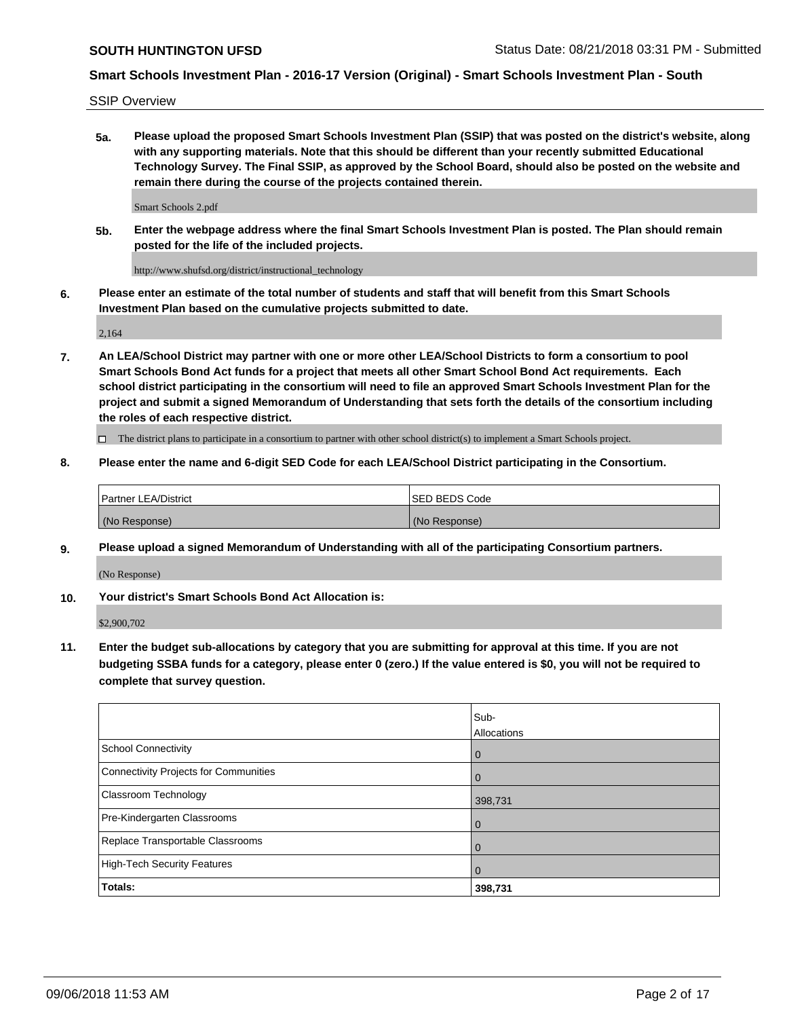SSIP Overview

**5a. Please upload the proposed Smart Schools Investment Plan (SSIP) that was posted on the district's website, along with any supporting materials. Note that this should be different than your recently submitted Educational Technology Survey. The Final SSIP, as approved by the School Board, should also be posted on the website and remain there during the course of the projects contained therein.**

Smart Schools 2.pdf

**5b. Enter the webpage address where the final Smart Schools Investment Plan is posted. The Plan should remain posted for the life of the included projects.**

http://www.shufsd.org/district/instructional\_technology

**6. Please enter an estimate of the total number of students and staff that will benefit from this Smart Schools Investment Plan based on the cumulative projects submitted to date.**

2,164

**7. An LEA/School District may partner with one or more other LEA/School Districts to form a consortium to pool Smart Schools Bond Act funds for a project that meets all other Smart School Bond Act requirements. Each school district participating in the consortium will need to file an approved Smart Schools Investment Plan for the project and submit a signed Memorandum of Understanding that sets forth the details of the consortium including the roles of each respective district.**

 $\Box$  The district plans to participate in a consortium to partner with other school district(s) to implement a Smart Schools project.

### **8. Please enter the name and 6-digit SED Code for each LEA/School District participating in the Consortium.**

| Partner LEA/District | <b>ISED BEDS Code</b> |
|----------------------|-----------------------|
| (No Response)        | (No Response)         |

#### **9. Please upload a signed Memorandum of Understanding with all of the participating Consortium partners.**

(No Response)

**10. Your district's Smart Schools Bond Act Allocation is:**

\$2,900,702

**11. Enter the budget sub-allocations by category that you are submitting for approval at this time. If you are not budgeting SSBA funds for a category, please enter 0 (zero.) If the value entered is \$0, you will not be required to complete that survey question.**

|                                       | Sub-<br>Allocations |
|---------------------------------------|---------------------|
| <b>School Connectivity</b>            | $\mathbf 0$         |
| Connectivity Projects for Communities | $\Omega$            |
| Classroom Technology                  | 398,731             |
| Pre-Kindergarten Classrooms           | 0                   |
| Replace Transportable Classrooms      | 0                   |
| High-Tech Security Features           | $\Omega$            |
| Totals:                               | 398,731             |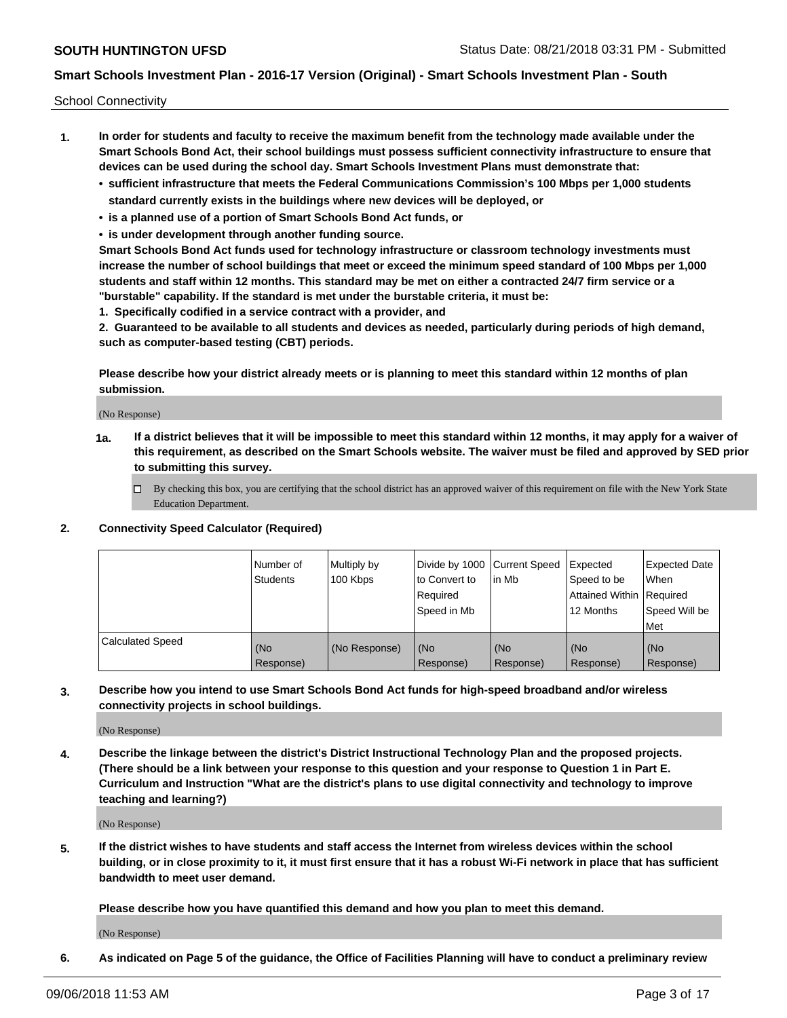School Connectivity

- **1. In order for students and faculty to receive the maximum benefit from the technology made available under the Smart Schools Bond Act, their school buildings must possess sufficient connectivity infrastructure to ensure that devices can be used during the school day. Smart Schools Investment Plans must demonstrate that:**
	- **• sufficient infrastructure that meets the Federal Communications Commission's 100 Mbps per 1,000 students standard currently exists in the buildings where new devices will be deployed, or**
	- **• is a planned use of a portion of Smart Schools Bond Act funds, or**
	- **• is under development through another funding source.**

**Smart Schools Bond Act funds used for technology infrastructure or classroom technology investments must increase the number of school buildings that meet or exceed the minimum speed standard of 100 Mbps per 1,000 students and staff within 12 months. This standard may be met on either a contracted 24/7 firm service or a "burstable" capability. If the standard is met under the burstable criteria, it must be:**

**1. Specifically codified in a service contract with a provider, and**

**2. Guaranteed to be available to all students and devices as needed, particularly during periods of high demand, such as computer-based testing (CBT) periods.**

**Please describe how your district already meets or is planning to meet this standard within 12 months of plan submission.**

(No Response)

**1a. If a district believes that it will be impossible to meet this standard within 12 months, it may apply for a waiver of this requirement, as described on the Smart Schools website. The waiver must be filed and approved by SED prior to submitting this survey.**

 $\Box$  By checking this box, you are certifying that the school district has an approved waiver of this requirement on file with the New York State Education Department.

#### **2. Connectivity Speed Calculator (Required)**

|                         | l Number of<br>Students | Multiply by<br>100 Kbps | Divide by 1000 Current Speed<br>to Convert to<br>Required<br>l Speed in Mb | lin Mb           | Expected<br>Speed to be<br>Attained Within   Required<br>12 Months | <b>Expected Date</b><br>When<br>Speed Will be<br>Met |
|-------------------------|-------------------------|-------------------------|----------------------------------------------------------------------------|------------------|--------------------------------------------------------------------|------------------------------------------------------|
| <b>Calculated Speed</b> | (No<br>Response)        | (No Response)           | (No<br>Response)                                                           | (No<br>Response) | (No<br>Response)                                                   | (No<br>Response)                                     |

**3. Describe how you intend to use Smart Schools Bond Act funds for high-speed broadband and/or wireless connectivity projects in school buildings.**

(No Response)

**4. Describe the linkage between the district's District Instructional Technology Plan and the proposed projects. (There should be a link between your response to this question and your response to Question 1 in Part E. Curriculum and Instruction "What are the district's plans to use digital connectivity and technology to improve teaching and learning?)**

(No Response)

**5. If the district wishes to have students and staff access the Internet from wireless devices within the school building, or in close proximity to it, it must first ensure that it has a robust Wi-Fi network in place that has sufficient bandwidth to meet user demand.**

**Please describe how you have quantified this demand and how you plan to meet this demand.**

(No Response)

**6. As indicated on Page 5 of the guidance, the Office of Facilities Planning will have to conduct a preliminary review**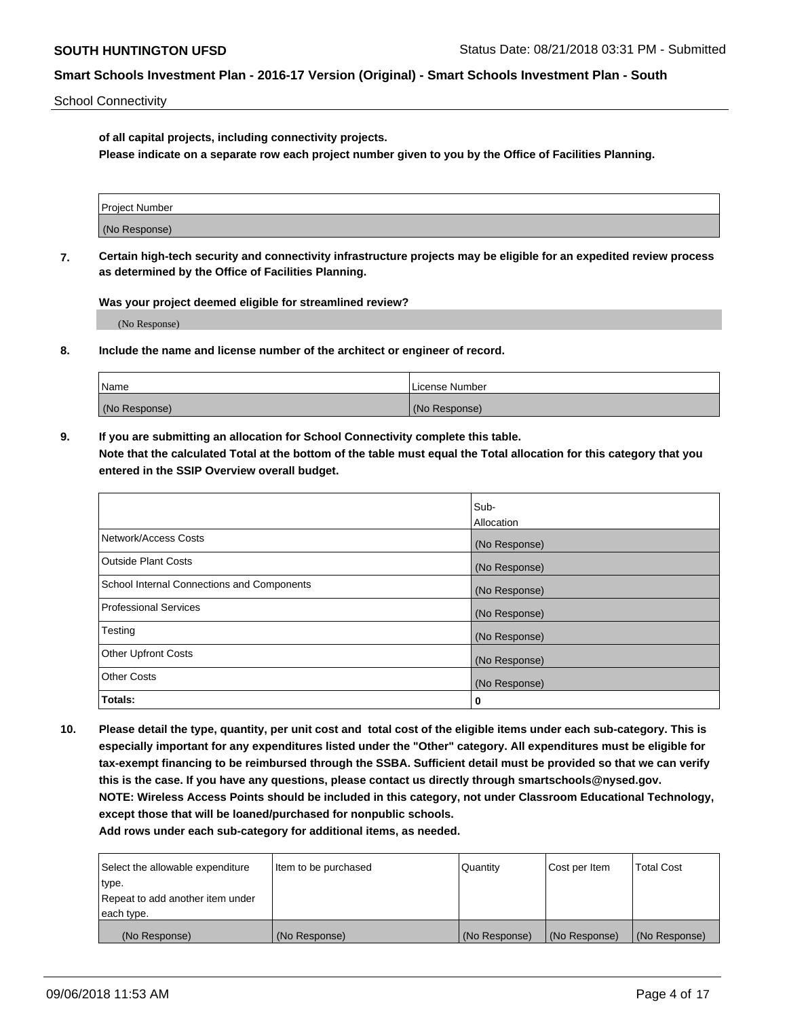School Connectivity

**of all capital projects, including connectivity projects.**

**Please indicate on a separate row each project number given to you by the Office of Facilities Planning.**

| Project Number |  |
|----------------|--|
|                |  |
| (No Response)  |  |
|                |  |

**7. Certain high-tech security and connectivity infrastructure projects may be eligible for an expedited review process as determined by the Office of Facilities Planning.**

**Was your project deemed eligible for streamlined review?**

(No Response)

**8. Include the name and license number of the architect or engineer of record.**

| Name          | License Number |
|---------------|----------------|
| (No Response) | (No Response)  |

**9. If you are submitting an allocation for School Connectivity complete this table. Note that the calculated Total at the bottom of the table must equal the Total allocation for this category that you entered in the SSIP Overview overall budget.** 

|                                            | Sub-          |
|--------------------------------------------|---------------|
|                                            | Allocation    |
| Network/Access Costs                       | (No Response) |
| Outside Plant Costs                        | (No Response) |
| School Internal Connections and Components | (No Response) |
| <b>Professional Services</b>               | (No Response) |
| Testing                                    | (No Response) |
| <b>Other Upfront Costs</b>                 | (No Response) |
| <b>Other Costs</b>                         | (No Response) |
| Totals:                                    | 0             |

**10. Please detail the type, quantity, per unit cost and total cost of the eligible items under each sub-category. This is especially important for any expenditures listed under the "Other" category. All expenditures must be eligible for tax-exempt financing to be reimbursed through the SSBA. Sufficient detail must be provided so that we can verify this is the case. If you have any questions, please contact us directly through smartschools@nysed.gov. NOTE: Wireless Access Points should be included in this category, not under Classroom Educational Technology, except those that will be loaned/purchased for nonpublic schools.**

| Select the allowable expenditure | Item to be purchased | Quantity      | Cost per Item | <b>Total Cost</b> |
|----------------------------------|----------------------|---------------|---------------|-------------------|
| type.                            |                      |               |               |                   |
| Repeat to add another item under |                      |               |               |                   |
| each type.                       |                      |               |               |                   |
| (No Response)                    | (No Response)        | (No Response) | (No Response) | (No Response)     |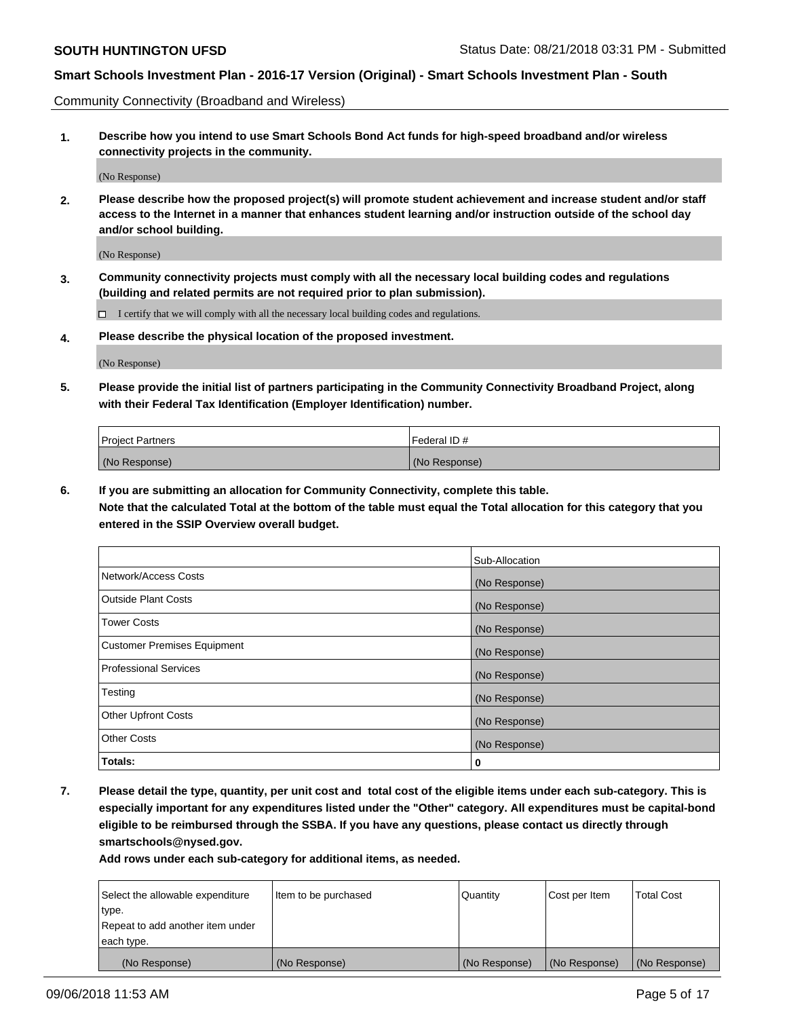Community Connectivity (Broadband and Wireless)

**1. Describe how you intend to use Smart Schools Bond Act funds for high-speed broadband and/or wireless connectivity projects in the community.**

(No Response)

**2. Please describe how the proposed project(s) will promote student achievement and increase student and/or staff access to the Internet in a manner that enhances student learning and/or instruction outside of the school day and/or school building.**

(No Response)

**3. Community connectivity projects must comply with all the necessary local building codes and regulations (building and related permits are not required prior to plan submission).**

 $\Box$  I certify that we will comply with all the necessary local building codes and regulations.

**4. Please describe the physical location of the proposed investment.**

(No Response)

**5. Please provide the initial list of partners participating in the Community Connectivity Broadband Project, along with their Federal Tax Identification (Employer Identification) number.**

| <b>Project Partners</b> | Federal ID#   |
|-------------------------|---------------|
| (No Response)           | (No Response) |

**6. If you are submitting an allocation for Community Connectivity, complete this table.**

**Note that the calculated Total at the bottom of the table must equal the Total allocation for this category that you entered in the SSIP Overview overall budget.**

|                              | Sub-Allocation |
|------------------------------|----------------|
| Network/Access Costs         | (No Response)  |
| Outside Plant Costs          | (No Response)  |
| <b>Tower Costs</b>           | (No Response)  |
| Customer Premises Equipment  | (No Response)  |
| <b>Professional Services</b> | (No Response)  |
| Testing                      | (No Response)  |
| <b>Other Upfront Costs</b>   | (No Response)  |
| <b>Other Costs</b>           | (No Response)  |
| Totals:                      | 0              |

**7. Please detail the type, quantity, per unit cost and total cost of the eligible items under each sub-category. This is especially important for any expenditures listed under the "Other" category. All expenditures must be capital-bond eligible to be reimbursed through the SSBA. If you have any questions, please contact us directly through smartschools@nysed.gov.**

| Select the allowable expenditure | Item to be purchased | Quantity      | Cost per Item | <b>Total Cost</b> |
|----------------------------------|----------------------|---------------|---------------|-------------------|
| type.                            |                      |               |               |                   |
| Repeat to add another item under |                      |               |               |                   |
| each type.                       |                      |               |               |                   |
| (No Response)                    | (No Response)        | (No Response) | (No Response) | (No Response)     |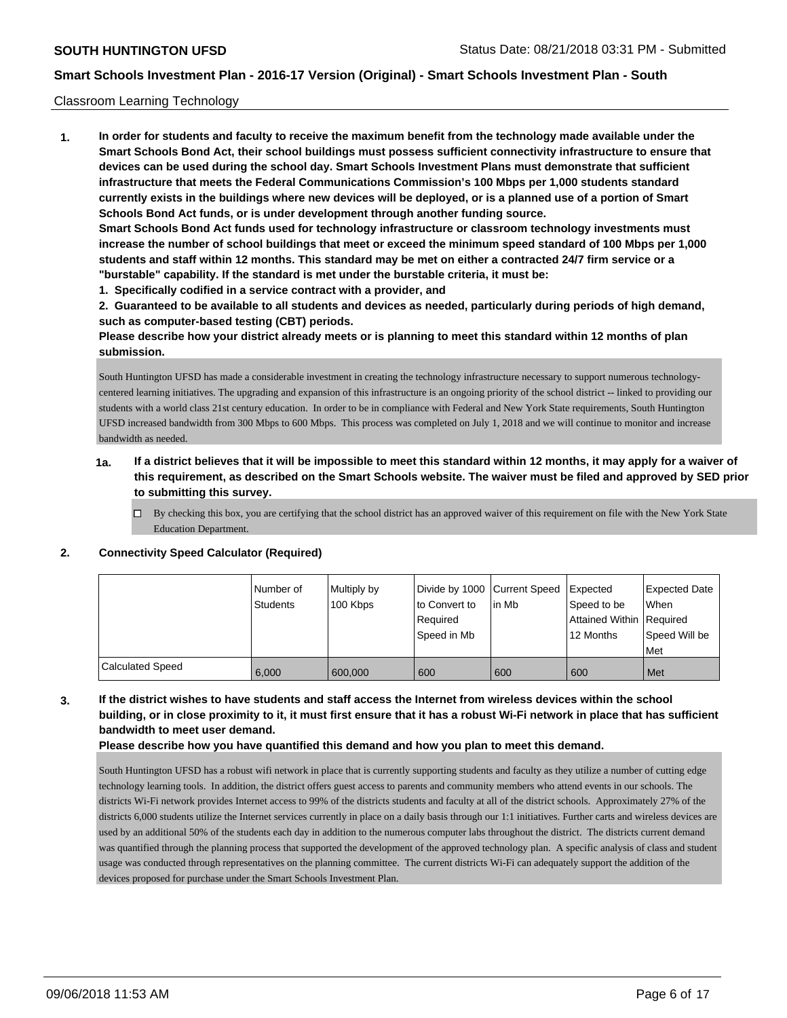#### Classroom Learning Technology

**1. In order for students and faculty to receive the maximum benefit from the technology made available under the Smart Schools Bond Act, their school buildings must possess sufficient connectivity infrastructure to ensure that devices can be used during the school day. Smart Schools Investment Plans must demonstrate that sufficient infrastructure that meets the Federal Communications Commission's 100 Mbps per 1,000 students standard currently exists in the buildings where new devices will be deployed, or is a planned use of a portion of Smart Schools Bond Act funds, or is under development through another funding source. Smart Schools Bond Act funds used for technology infrastructure or classroom technology investments must increase the number of school buildings that meet or exceed the minimum speed standard of 100 Mbps per 1,000 students and staff within 12 months. This standard may be met on either a contracted 24/7 firm service or a "burstable" capability. If the standard is met under the burstable criteria, it must be:**

**1. Specifically codified in a service contract with a provider, and**

**2. Guaranteed to be available to all students and devices as needed, particularly during periods of high demand, such as computer-based testing (CBT) periods.**

**Please describe how your district already meets or is planning to meet this standard within 12 months of plan submission.**

South Huntington UFSD has made a considerable investment in creating the technology infrastructure necessary to support numerous technologycentered learning initiatives. The upgrading and expansion of this infrastructure is an ongoing priority of the school district -- linked to providing our students with a world class 21st century education. In order to be in compliance with Federal and New York State requirements, South Huntington UFSD increased bandwidth from 300 Mbps to 600 Mbps. This process was completed on July 1, 2018 and we will continue to monitor and increase bandwidth as needed.

- **1a. If a district believes that it will be impossible to meet this standard within 12 months, it may apply for a waiver of this requirement, as described on the Smart Schools website. The waiver must be filed and approved by SED prior to submitting this survey.**
	- By checking this box, you are certifying that the school district has an approved waiver of this requirement on file with the New York State Education Department.

#### **2. Connectivity Speed Calculator (Required)**

|                         | Number of<br>Students | Multiply by<br>100 Kbps | Divide by 1000 Current Speed<br>to Convert to<br>Required<br>Speed in Mb | lin Mb | Expected<br>Speed to be<br>Attained Within   Required<br>12 Months | <b>Expected Date</b><br>When<br>Speed Will be<br>Met |
|-------------------------|-----------------------|-------------------------|--------------------------------------------------------------------------|--------|--------------------------------------------------------------------|------------------------------------------------------|
| <b>Calculated Speed</b> | 6,000                 | 600,000                 | 600                                                                      | 600    | 600                                                                | Met                                                  |

## **3. If the district wishes to have students and staff access the Internet from wireless devices within the school building, or in close proximity to it, it must first ensure that it has a robust Wi-Fi network in place that has sufficient bandwidth to meet user demand.**

**Please describe how you have quantified this demand and how you plan to meet this demand.**

South Huntington UFSD has a robust wifi network in place that is currently supporting students and faculty as they utilize a number of cutting edge technology learning tools. In addition, the district offers guest access to parents and community members who attend events in our schools. The district s Wi-Fi network provides Internet access to 99% of the district s students and faculty at all of the district schools. Approximately 27% of the district s 6,000 students utilize the Internet services currently in place on a daily basis through our 1:1 initiatives. Further carts and wireless devices are used by an additional 50% of the students each day in addition to the numerous computer labs throughout the district. The district s current demand was quantified through the planning process that supported the development of the approved technology plan. A specific analysis of class and student usage was conducted through representatives on the planning committee. The current district s Wi-Fi can adequately support the addition of the devices proposed for purchase under the Smart Schools Investment Plan.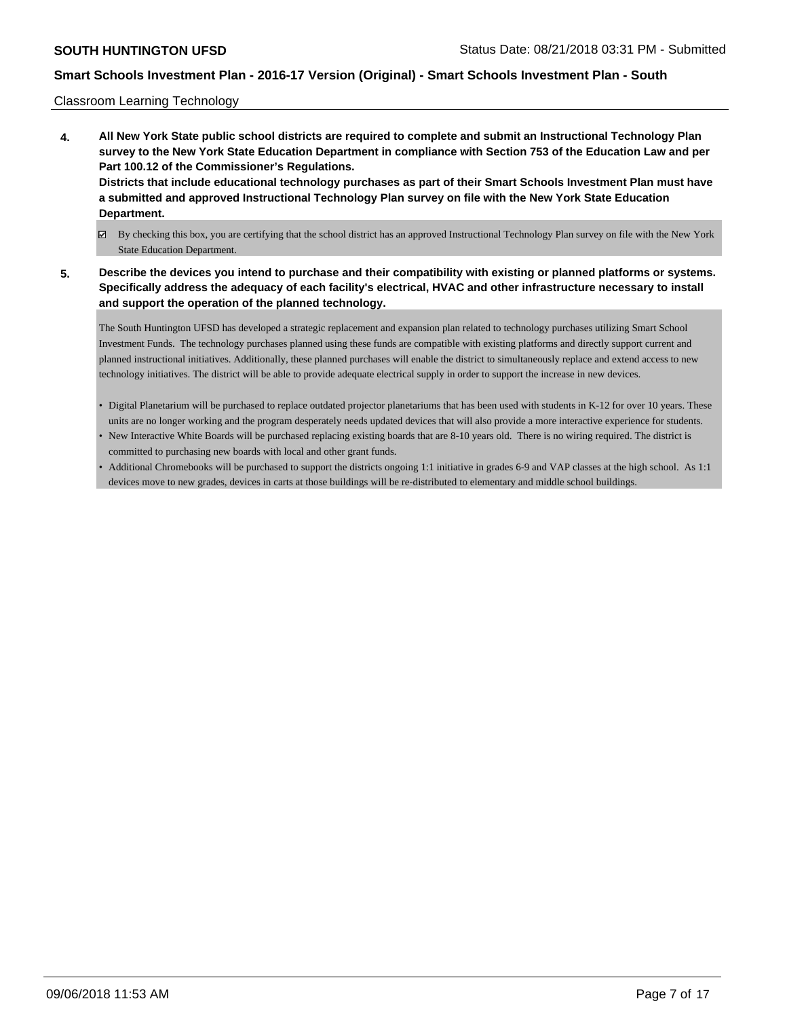Classroom Learning Technology

- **4. All New York State public school districts are required to complete and submit an Instructional Technology Plan survey to the New York State Education Department in compliance with Section 753 of the Education Law and per Part 100.12 of the Commissioner's Regulations. Districts that include educational technology purchases as part of their Smart Schools Investment Plan must have a submitted and approved Instructional Technology Plan survey on file with the New York State Education Department.**
	- By checking this box, you are certifying that the school district has an approved Instructional Technology Plan survey on file with the New York State Education Department.
- **5. Describe the devices you intend to purchase and their compatibility with existing or planned platforms or systems. Specifically address the adequacy of each facility's electrical, HVAC and other infrastructure necessary to install and support the operation of the planned technology.**

The South Huntington UFSD has developed a strategic replacement and expansion plan related to technology purchases utilizing Smart School Investment Funds. The technology purchases planned using these funds are compatible with existing platforms and directly support current and planned instructional initiatives. Additionally, these planned purchases will enable the district to simultaneously replace and extend access to new technology initiatives. The district will be able to provide adequate electrical supply in order to support the increase in new devices.

- Digital Planetarium will be purchased to replace outdated projector planetariums that has been used with students in K-12 for over 10 years. These units are no longer working and the program desperately needs updated devices that will also provide a more interactive experience for students.
- New Interactive White Boards will be purchased replacing existing boards that are 8-10 years old. There is no wiring required. The district is committed to purchasing new boards with local and other grant funds.
- Additional Chromebooks will be purchased to support the districts ongoing 1:1 initiative in grades 6-9 and VAP classes at the high school. As 1:1 devices move to new grades, devices in carts at those buildings will be re-distributed to elementary and middle school buildings.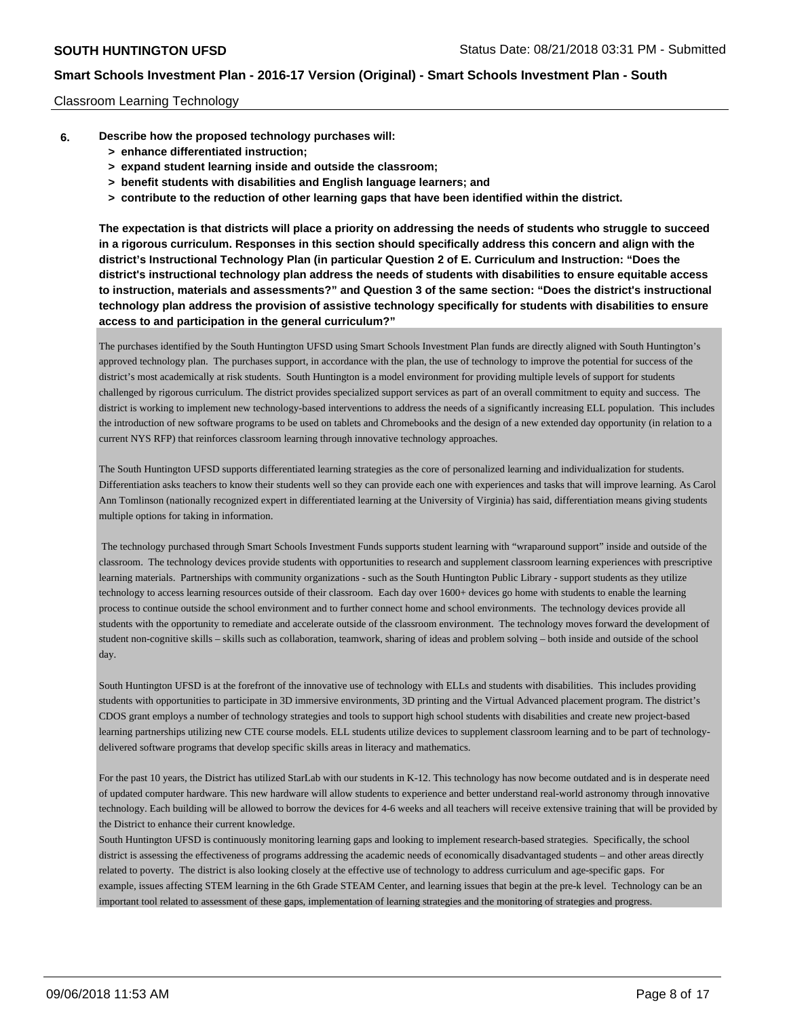## Classroom Learning Technology

- **6. Describe how the proposed technology purchases will:**
	- **> enhance differentiated instruction;**
	- **> expand student learning inside and outside the classroom;**
	- **> benefit students with disabilities and English language learners; and**
	- **> contribute to the reduction of other learning gaps that have been identified within the district.**

**The expectation is that districts will place a priority on addressing the needs of students who struggle to succeed in a rigorous curriculum. Responses in this section should specifically address this concern and align with the district's Instructional Technology Plan (in particular Question 2 of E. Curriculum and Instruction: "Does the district's instructional technology plan address the needs of students with disabilities to ensure equitable access to instruction, materials and assessments?" and Question 3 of the same section: "Does the district's instructional technology plan address the provision of assistive technology specifically for students with disabilities to ensure access to and participation in the general curriculum?"**

The purchases identified by the South Huntington UFSD using Smart Schools Investment Plan funds are directly aligned with South Huntington's approved technology plan. The purchases support, in accordance with the plan, the use of technology to improve the potential for success of the district's most academically at risk students. South Huntington is a model environment for providing multiple levels of support for students challenged by rigorous curriculum. The district provides specialized support services as part of an overall commitment to equity and success. The district is working to implement new technology-based interventions to address the needs of a significantly increasing ELL population. This includes the introduction of new software programs to be used on tablets and Chromebooks and the design of a new extended day opportunity (in relation to a current NYS RFP) that reinforces classroom learning through innovative technology approaches.

The South Huntington UFSD supports differentiated learning strategies as the core of personalized learning and individualization for students. Differentiation asks teachers to know their students well so they can provide each one with experiences and tasks that will improve learning. As Carol Ann Tomlinson (nationally recognized expert in differentiated learning at the University of Virginia) has said, differentiation means giving students multiple options for taking in information.

 The technology purchased through Smart Schools Investment Funds supports student learning with "wraparound support" inside and outside of the classroom. The technology devices provide students with opportunities to research and supplement classroom learning experiences with prescriptive learning materials. Partnerships with community organizations - such as the South Huntington Public Library - support students as they utilize technology to access learning resources outside of their classroom. Each day over 1600+ devices go home with students to enable the learning process to continue outside the school environment and to further connect home and school environments. The technology devices provide all students with the opportunity to remediate and accelerate outside of the classroom environment. The technology moves forward the development of student non-cognitive skills – skills such as collaboration, teamwork, sharing of ideas and problem solving – both inside and outside of the school day.

South Huntington UFSD is at the forefront of the innovative use of technology with ELLs and students with disabilities. This includes providing students with opportunities to participate in 3D immersive environments, 3D printing and the Virtual Advanced placement program. The district's CDOS grant employs a number of technology strategies and tools to support high school students with disabilities and create new project-based learning partnerships utilizing new CTE course models. ELL students utilize devices to supplement classroom learning and to be part of technologydelivered software programs that develop specific skills areas in literacy and mathematics.

For the past 10 years, the District has utilized StarLab with our students in K-12. This technology has now become outdated and is in desperate need of updated computer hardware. This new hardware will allow students to experience and better understand real-world astronomy through innovative technology. Each building will be allowed to borrow the devices for 4-6 weeks and all teachers will receive extensive training that will be provided by the District to enhance their current knowledge.

South Huntington UFSD is continuously monitoring learning gaps and looking to implement research-based strategies. Specifically, the school district is assessing the effectiveness of programs addressing the academic needs of economically disadvantaged students – and other areas directly related to poverty. The district is also looking closely at the effective use of technology to address curriculum and age-specific gaps. For example, issues affecting STEM learning in the 6th Grade STEAM Center, and learning issues that begin at the pre-k level. Technology can be an important tool related to assessment of these gaps, implementation of learning strategies and the monitoring of strategies and progress.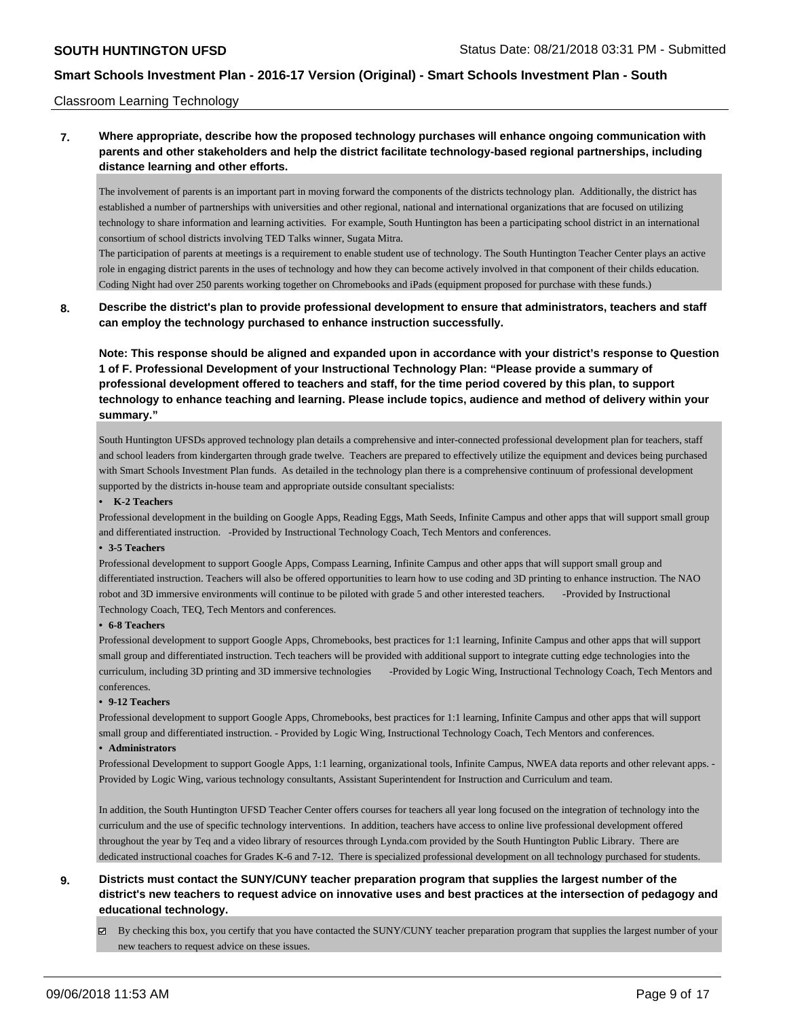### Classroom Learning Technology

## **7. Where appropriate, describe how the proposed technology purchases will enhance ongoing communication with parents and other stakeholders and help the district facilitate technology-based regional partnerships, including distance learning and other efforts.**

The involvement of parents is an important part in moving forward the components of the districts technology plan. Additionally, the district has established a number of partnerships with universities and other regional, national and international organizations that are focused on utilizing technology to share information and learning activities. For example, South Huntington has been a participating school district in an international consortium of school districts involving TED Talks winner, Sugata Mitra.

The participation of parents at meetings is a requirement to enable student use of technology. The South Huntington Teacher Center plays an active role in engaging district parents in the uses of technology and how they can become actively involved in that component of their childs education. Coding Night had over 250 parents working together on Chromebooks and iPads (equipment proposed for purchase with these funds.)

## **8. Describe the district's plan to provide professional development to ensure that administrators, teachers and staff can employ the technology purchased to enhance instruction successfully.**

**Note: This response should be aligned and expanded upon in accordance with your district's response to Question 1 of F. Professional Development of your Instructional Technology Plan: "Please provide a summary of professional development offered to teachers and staff, for the time period covered by this plan, to support technology to enhance teaching and learning. Please include topics, audience and method of delivery within your summary."**

South Huntington UFSD s approved technology plan details a comprehensive and inter-connected professional development plan for teachers, staff and school leaders from kindergarten through grade twelve. Teachers are prepared to effectively utilize the equipment and devices being purchased with Smart Schools Investment Plan funds. As detailed in the technology plan there is a comprehensive continuum of professional development supported by the district s in-house team and appropriate outside consultant specialists:

#### **• K-2 Teachers**

Professional development in the building on Google Apps, Reading Eggs, Math Seeds, Infinite Campus and other apps that will support small group and differentiated instruction. -Provided by Instructional Technology Coach, Tech Mentors and conferences.

#### **• 3-5 Teachers**

Professional development to support Google Apps, Compass Learning, Infinite Campus and other apps that will support small group and differentiated instruction. Teachers will also be offered opportunities to learn how to use coding and 3D printing to enhance instruction. The NAO robot and 3D immersive environments will continue to be piloted with grade 5 and other interested teachers. -Provided by Instructional Technology Coach, TEQ, Tech Mentors and conferences.

#### **• 6-8 Teachers**

Professional development to support Google Apps, Chromebooks, best practices for 1:1 learning, Infinite Campus and other apps that will support small group and differentiated instruction. Tech teachers will be provided with additional support to integrate cutting edge technologies into the curriculum, including 3D printing and 3D immersive technologies -Provided by Logic Wing, Instructional Technology Coach, Tech Mentors and conferences.

#### **• 9-12 Teachers**

Professional development to support Google Apps, Chromebooks, best practices for 1:1 learning, Infinite Campus and other apps that will support small group and differentiated instruction. - Provided by Logic Wing, Instructional Technology Coach, Tech Mentors and conferences.

## **• Administrators**

Professional Development to support Google Apps, 1:1 learning, organizational tools, Infinite Campus, NWEA data reports and other relevant apps. - Provided by Logic Wing, various technology consultants, Assistant Superintendent for Instruction and Curriculum and team.

In addition, the South Huntington UFSD Teacher Center offers courses for teachers all year long focused on the integration of technology into the curriculum and the use of specific technology interventions. In addition, teachers have access to online live professional development offered throughout the year by Teq and a video library of resources through Lynda.com provided by the South Huntington Public Library. There are dedicated instructional coaches for Grades K-6 and 7-12. There is specialized professional development on all technology purchased for students.

# **9. Districts must contact the SUNY/CUNY teacher preparation program that supplies the largest number of the district's new teachers to request advice on innovative uses and best practices at the intersection of pedagogy and educational technology.**

 $\boxtimes$  By checking this box, you certify that you have contacted the SUNY/CUNY teacher preparation program that supplies the largest number of your new teachers to request advice on these issues.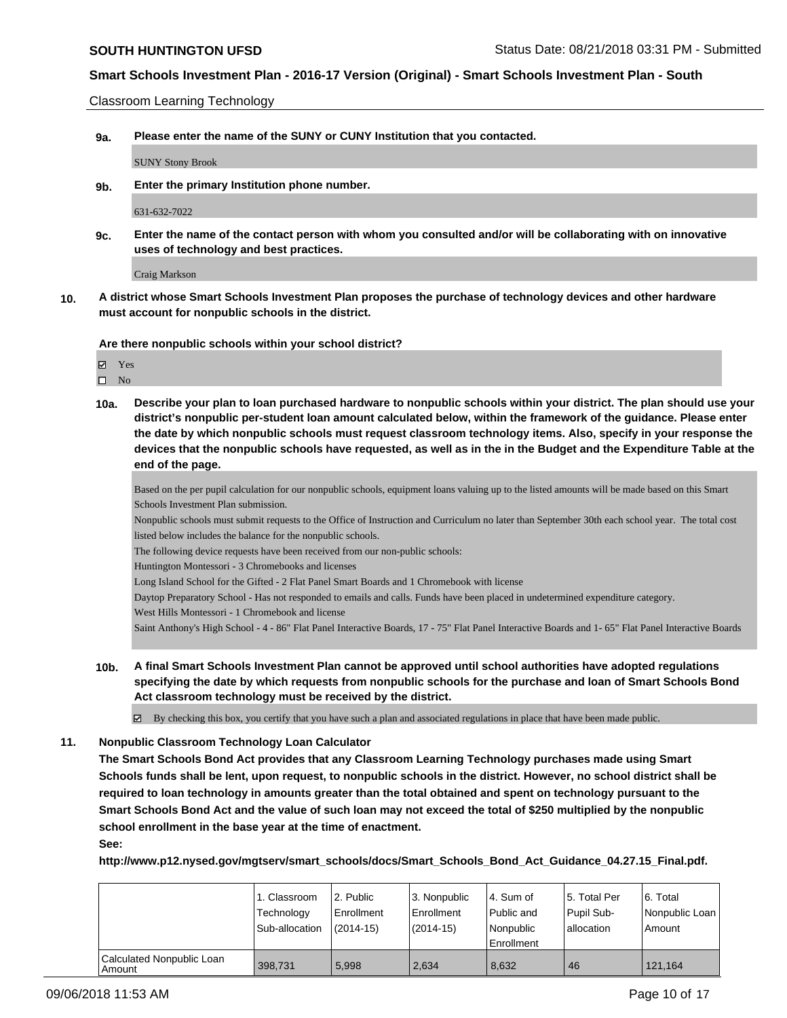Classroom Learning Technology

**9a. Please enter the name of the SUNY or CUNY Institution that you contacted.**

SUNY Stony Brook

**9b. Enter the primary Institution phone number.**

631-632-7022

**9c. Enter the name of the contact person with whom you consulted and/or will be collaborating with on innovative uses of technology and best practices.**

Craig Markson

**10. A district whose Smart Schools Investment Plan proposes the purchase of technology devices and other hardware must account for nonpublic schools in the district.**

**Are there nonpublic schools within your school district?**

Yes

 $\square$  No

**10a. Describe your plan to loan purchased hardware to nonpublic schools within your district. The plan should use your district's nonpublic per-student loan amount calculated below, within the framework of the guidance. Please enter the date by which nonpublic schools must request classroom technology items. Also, specify in your response the devices that the nonpublic schools have requested, as well as in the in the Budget and the Expenditure Table at the end of the page.**

Based on the per pupil calculation for our nonpublic schools, equipment loans valuing up to the listed amounts will be made based on this Smart Schools Investment Plan submission.

Nonpublic schools must submit requests to the Office of Instruction and Curriculum no later than September 30th each school year. The total cost listed below includes the balance for the nonpublic schools.

The following device requests have been received from our non-public schools:

Huntington Montessori - 3 Chromebooks and licenses

Long Island School for the Gifted - 2 Flat Panel Smart Boards and 1 Chromebook with license

Daytop Preparatory School - Has not responded to emails and calls. Funds have been placed in undetermined expenditure category.

West Hills Montessori - 1 Chromebook and license

Saint Anthony's High School - 4 - 86" Flat Panel Interactive Boards, 17 - 75" Flat Panel Interactive Boards and 1- 65" Flat Panel Interactive Boards

**10b. A final Smart Schools Investment Plan cannot be approved until school authorities have adopted regulations specifying the date by which requests from nonpublic schools for the purchase and loan of Smart Schools Bond Act classroom technology must be received by the district.**

By checking this box, you certify that you have such a plan and associated regulations in place that have been made public.

#### **11. Nonpublic Classroom Technology Loan Calculator**

**The Smart Schools Bond Act provides that any Classroom Learning Technology purchases made using Smart Schools funds shall be lent, upon request, to nonpublic schools in the district. However, no school district shall be required to loan technology in amounts greater than the total obtained and spent on technology pursuant to the Smart Schools Bond Act and the value of such loan may not exceed the total of \$250 multiplied by the nonpublic school enrollment in the base year at the time of enactment.**

**See:**

**http://www.p12.nysed.gov/mgtserv/smart\_schools/docs/Smart\_Schools\_Bond\_Act\_Guidance\_04.27.15\_Final.pdf.**

|                                            | 1. Classroom<br>Technology<br>Sub-allocation | l 2. Public<br>l Enrollment<br>$(2014-15)$ | l 3. Nonpublic<br>l Enrollment<br>(2014-15) | l 4. Sum of<br>Public and<br>Nonpublic<br>Enrollment | 15. Total Per<br>Pupil Sub-<br>lallocation | 6. Total<br>Nonpublic Loan<br>Amount |
|--------------------------------------------|----------------------------------------------|--------------------------------------------|---------------------------------------------|------------------------------------------------------|--------------------------------------------|--------------------------------------|
| Calculated Nonpublic Loan<br><b>Amount</b> | 398.731                                      | 5.998                                      | 2.634                                       | 8.632                                                | 46                                         | 121,164                              |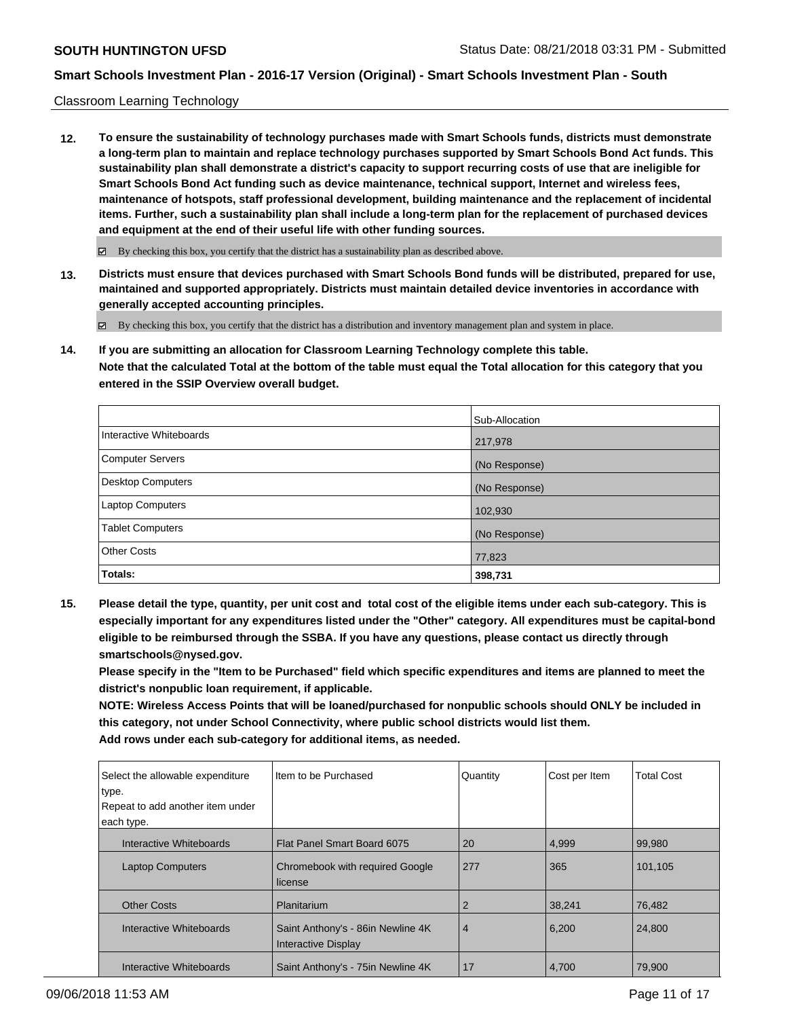## Classroom Learning Technology

**12. To ensure the sustainability of technology purchases made with Smart Schools funds, districts must demonstrate a long-term plan to maintain and replace technology purchases supported by Smart Schools Bond Act funds. This sustainability plan shall demonstrate a district's capacity to support recurring costs of use that are ineligible for Smart Schools Bond Act funding such as device maintenance, technical support, Internet and wireless fees, maintenance of hotspots, staff professional development, building maintenance and the replacement of incidental items. Further, such a sustainability plan shall include a long-term plan for the replacement of purchased devices and equipment at the end of their useful life with other funding sources.**

 $\boxtimes$  By checking this box, you certify that the district has a sustainability plan as described above.

**13. Districts must ensure that devices purchased with Smart Schools Bond funds will be distributed, prepared for use, maintained and supported appropriately. Districts must maintain detailed device inventories in accordance with generally accepted accounting principles.**

By checking this box, you certify that the district has a distribution and inventory management plan and system in place.

**14. If you are submitting an allocation for Classroom Learning Technology complete this table. Note that the calculated Total at the bottom of the table must equal the Total allocation for this category that you entered in the SSIP Overview overall budget.**

|                         | Sub-Allocation |
|-------------------------|----------------|
| Interactive Whiteboards | 217,978        |
| Computer Servers        | (No Response)  |
| Desktop Computers       | (No Response)  |
| Laptop Computers        | 102,930        |
| <b>Tablet Computers</b> | (No Response)  |
| <b>Other Costs</b>      | 77,823         |
| Totals:                 | 398,731        |

**15. Please detail the type, quantity, per unit cost and total cost of the eligible items under each sub-category. This is especially important for any expenditures listed under the "Other" category. All expenditures must be capital-bond eligible to be reimbursed through the SSBA. If you have any questions, please contact us directly through smartschools@nysed.gov.**

**Please specify in the "Item to be Purchased" field which specific expenditures and items are planned to meet the district's nonpublic loan requirement, if applicable.**

**NOTE: Wireless Access Points that will be loaned/purchased for nonpublic schools should ONLY be included in this category, not under School Connectivity, where public school districts would list them. Add rows under each sub-category for additional items, as needed.**

| Select the allowable expenditure<br>type. | Item to be Purchased                                            | Quantity       | Cost per Item | <b>Total Cost</b> |
|-------------------------------------------|-----------------------------------------------------------------|----------------|---------------|-------------------|
| Repeat to add another item under          |                                                                 |                |               |                   |
| each type.                                |                                                                 |                |               |                   |
| Interactive Whiteboards                   | Flat Panel Smart Board 6075                                     | 20             | 4,999         | 99,980            |
| <b>Laptop Computers</b>                   | <b>Chromebook with required Google</b><br>license               | 277            | 365           | 101,105           |
| <b>Other Costs</b>                        | Planitarium                                                     | 2              | 38,241        | 76,482            |
| Interactive Whiteboards                   | Saint Anthony's - 86in Newline 4K<br><b>Interactive Display</b> | $\overline{4}$ | 6,200         | 24,800            |
| Interactive Whiteboards                   | Saint Anthony's - 75in Newline 4K                               | 17             | 4,700         | 79,900            |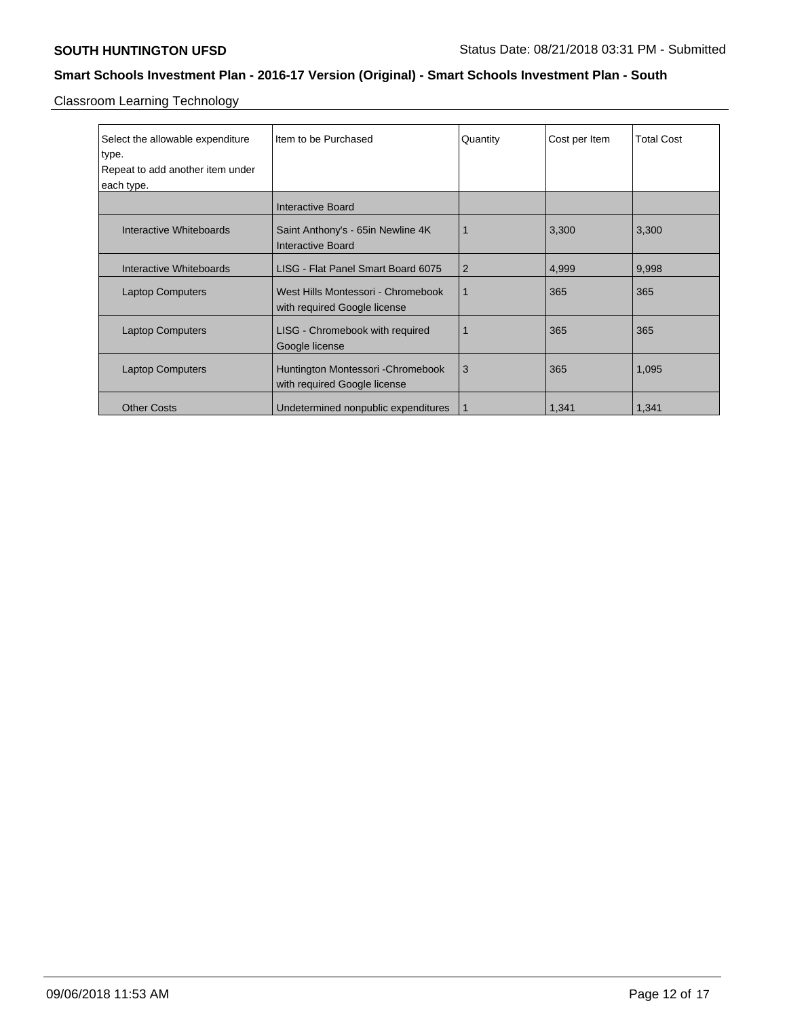Classroom Learning Technology

| Select the allowable expenditure<br>type.<br>Repeat to add another item under | Item to be Purchased                                               | Quantity       | Cost per Item | <b>Total Cost</b> |
|-------------------------------------------------------------------------------|--------------------------------------------------------------------|----------------|---------------|-------------------|
| each type.                                                                    |                                                                    |                |               |                   |
|                                                                               | <b>Interactive Board</b>                                           |                |               |                   |
| Interactive Whiteboards                                                       | Saint Anthony's - 65in Newline 4K<br>Interactive Board             |                | 3,300         | 3,300             |
| Interactive Whiteboards                                                       | LISG - Flat Panel Smart Board 6075                                 | $\overline{2}$ | 4,999         | 9,998             |
| <b>Laptop Computers</b>                                                       | West Hills Montessori - Chromebook<br>with required Google license | 1              | 365           | 365               |
| <b>Laptop Computers</b>                                                       | LISG - Chromebook with required<br>Google license                  |                | 365           | 365               |
| <b>Laptop Computers</b>                                                       | Huntington Montessori - Chromebook<br>with required Google license | 3              | 365           | 1,095             |
| <b>Other Costs</b>                                                            | Undetermined nonpublic expenditures                                | 1              | 1,341         | 1,341             |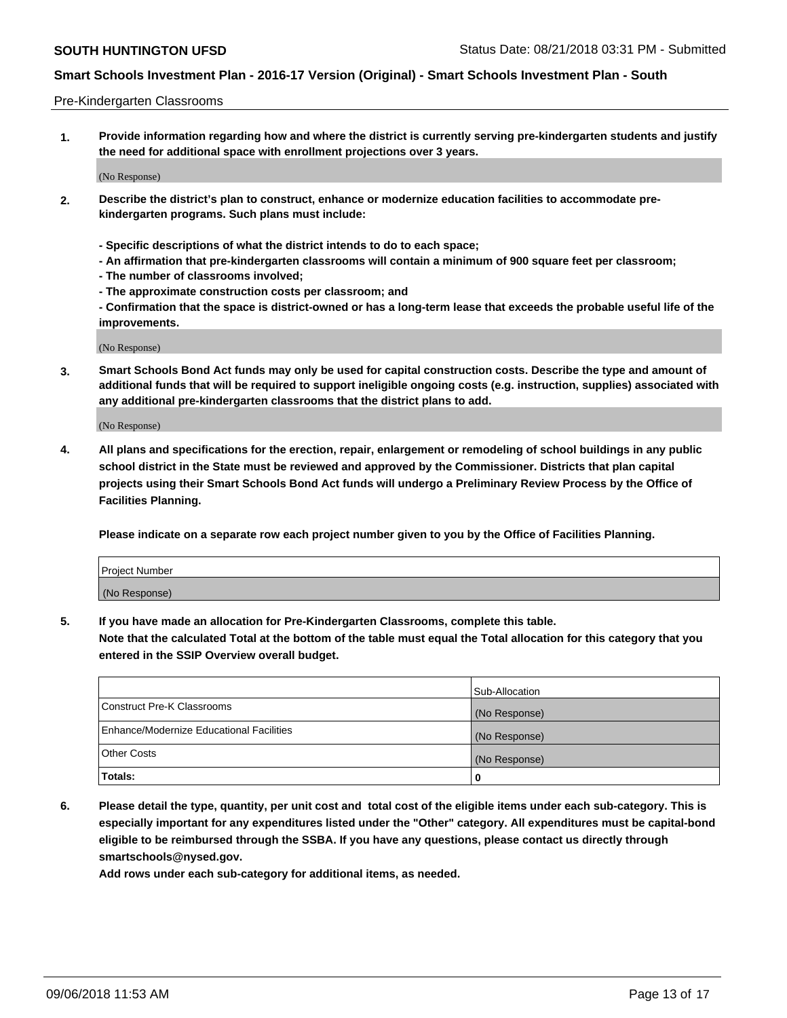### Pre-Kindergarten Classrooms

**1. Provide information regarding how and where the district is currently serving pre-kindergarten students and justify the need for additional space with enrollment projections over 3 years.**

(No Response)

- **2. Describe the district's plan to construct, enhance or modernize education facilities to accommodate prekindergarten programs. Such plans must include:**
	- **Specific descriptions of what the district intends to do to each space;**
	- **An affirmation that pre-kindergarten classrooms will contain a minimum of 900 square feet per classroom;**
	- **The number of classrooms involved;**
	- **The approximate construction costs per classroom; and**
	- **Confirmation that the space is district-owned or has a long-term lease that exceeds the probable useful life of the improvements.**

(No Response)

**3. Smart Schools Bond Act funds may only be used for capital construction costs. Describe the type and amount of additional funds that will be required to support ineligible ongoing costs (e.g. instruction, supplies) associated with any additional pre-kindergarten classrooms that the district plans to add.**

(No Response)

**4. All plans and specifications for the erection, repair, enlargement or remodeling of school buildings in any public school district in the State must be reviewed and approved by the Commissioner. Districts that plan capital projects using their Smart Schools Bond Act funds will undergo a Preliminary Review Process by the Office of Facilities Planning.**

**Please indicate on a separate row each project number given to you by the Office of Facilities Planning.**

| Project Number |  |
|----------------|--|
| (No Response)  |  |
|                |  |

**5. If you have made an allocation for Pre-Kindergarten Classrooms, complete this table.**

**Note that the calculated Total at the bottom of the table must equal the Total allocation for this category that you entered in the SSIP Overview overall budget.**

|                                          | Sub-Allocation |
|------------------------------------------|----------------|
| Construct Pre-K Classrooms               | (No Response)  |
| Enhance/Modernize Educational Facilities | (No Response)  |
| <b>Other Costs</b>                       | (No Response)  |
| Totals:                                  | 0              |

**6. Please detail the type, quantity, per unit cost and total cost of the eligible items under each sub-category. This is especially important for any expenditures listed under the "Other" category. All expenditures must be capital-bond eligible to be reimbursed through the SSBA. If you have any questions, please contact us directly through smartschools@nysed.gov.**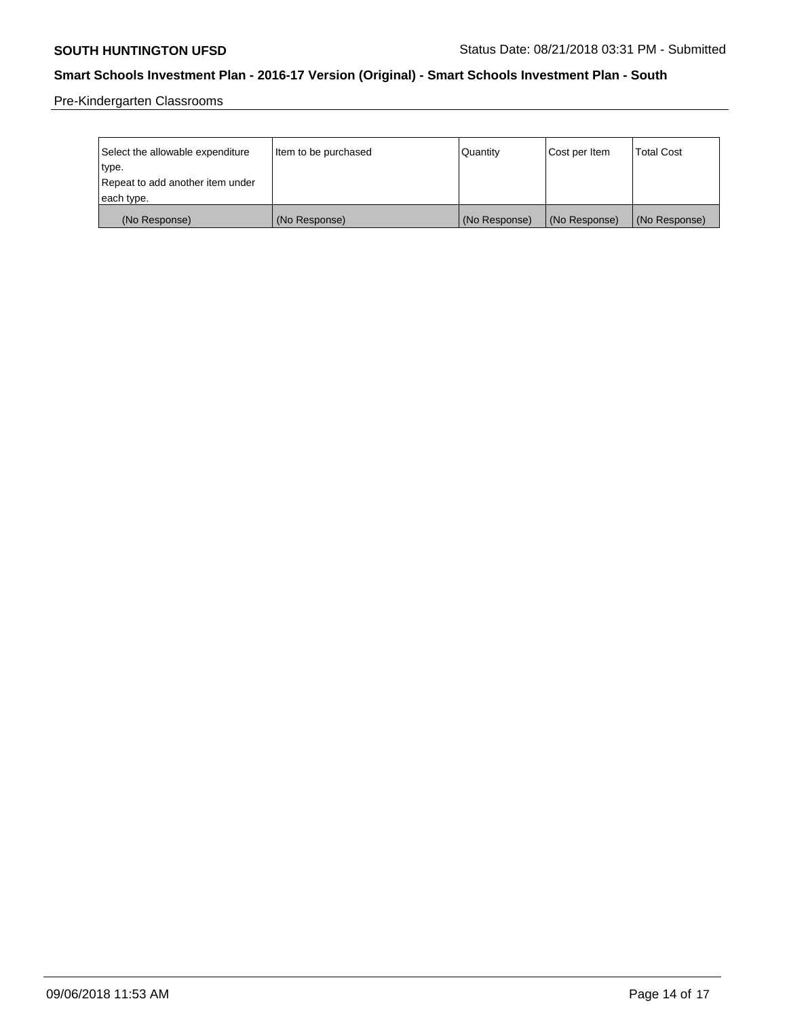Pre-Kindergarten Classrooms

| Select the allowable expenditure<br>type. | Item to be purchased | Quantity      | Cost per Item | <b>Total Cost</b> |
|-------------------------------------------|----------------------|---------------|---------------|-------------------|
| Repeat to add another item under          |                      |               |               |                   |
| each type.                                |                      |               |               |                   |
| (No Response)                             | (No Response)        | (No Response) | (No Response) | (No Response)     |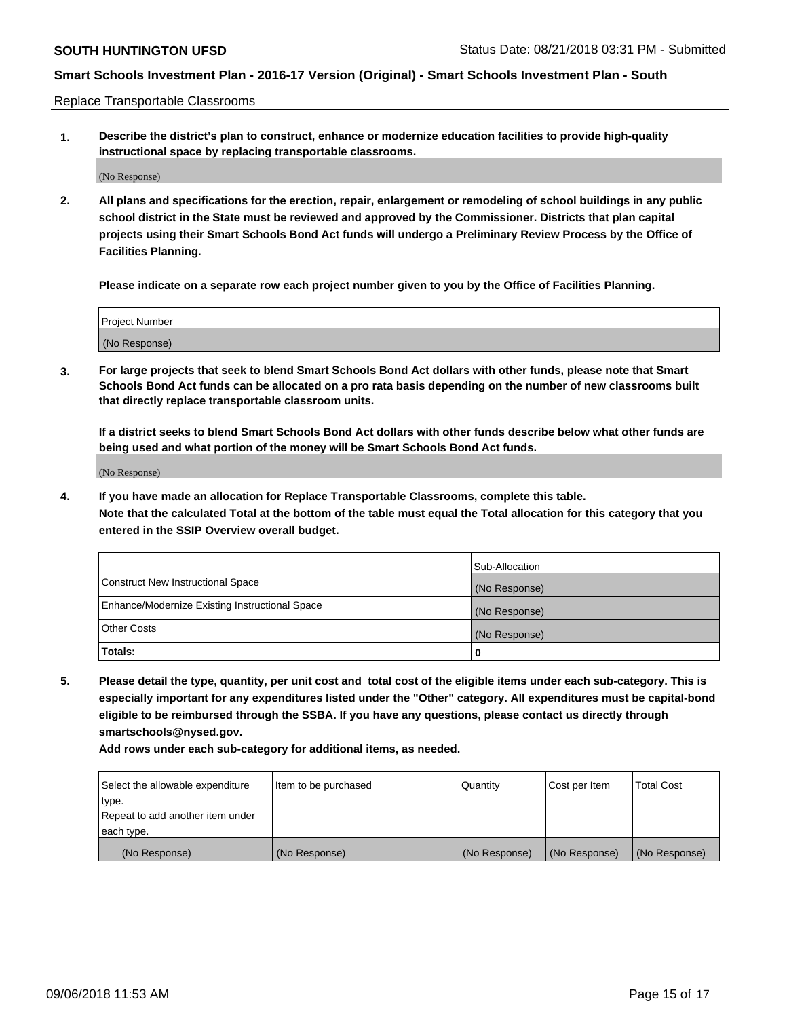Replace Transportable Classrooms

**1. Describe the district's plan to construct, enhance or modernize education facilities to provide high-quality instructional space by replacing transportable classrooms.**

(No Response)

**2. All plans and specifications for the erection, repair, enlargement or remodeling of school buildings in any public school district in the State must be reviewed and approved by the Commissioner. Districts that plan capital projects using their Smart Schools Bond Act funds will undergo a Preliminary Review Process by the Office of Facilities Planning.**

**Please indicate on a separate row each project number given to you by the Office of Facilities Planning.**

| Project Number |  |
|----------------|--|
|                |  |
|                |  |
|                |  |
|                |  |
| (No Response)  |  |
|                |  |
|                |  |
|                |  |

**3. For large projects that seek to blend Smart Schools Bond Act dollars with other funds, please note that Smart Schools Bond Act funds can be allocated on a pro rata basis depending on the number of new classrooms built that directly replace transportable classroom units.**

**If a district seeks to blend Smart Schools Bond Act dollars with other funds describe below what other funds are being used and what portion of the money will be Smart Schools Bond Act funds.**

(No Response)

**4. If you have made an allocation for Replace Transportable Classrooms, complete this table. Note that the calculated Total at the bottom of the table must equal the Total allocation for this category that you entered in the SSIP Overview overall budget.**

|                                                | Sub-Allocation |
|------------------------------------------------|----------------|
| Construct New Instructional Space              | (No Response)  |
| Enhance/Modernize Existing Instructional Space | (No Response)  |
| <b>Other Costs</b>                             | (No Response)  |
| Totals:                                        | 0              |

**5. Please detail the type, quantity, per unit cost and total cost of the eligible items under each sub-category. This is especially important for any expenditures listed under the "Other" category. All expenditures must be capital-bond eligible to be reimbursed through the SSBA. If you have any questions, please contact us directly through smartschools@nysed.gov.**

| Select the allowable expenditure | Item to be purchased | l Quantitv    | Cost per Item | <b>Total Cost</b> |
|----------------------------------|----------------------|---------------|---------------|-------------------|
| type.                            |                      |               |               |                   |
| Repeat to add another item under |                      |               |               |                   |
| each type.                       |                      |               |               |                   |
| (No Response)                    | (No Response)        | (No Response) | (No Response) | (No Response)     |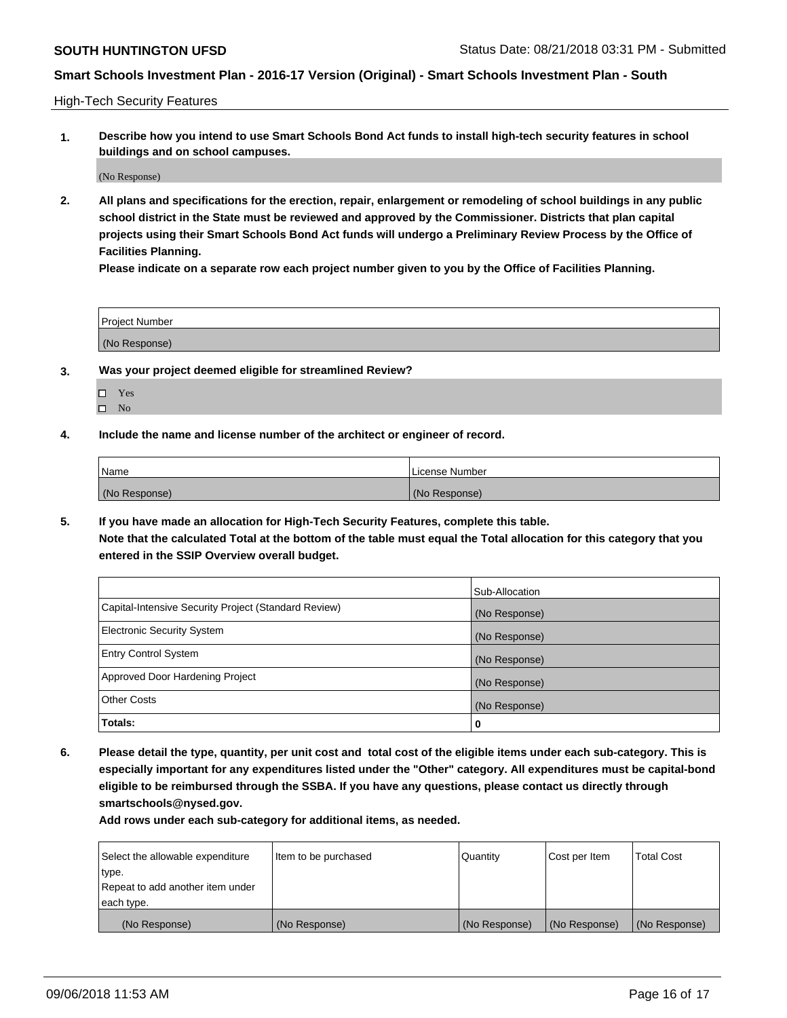High-Tech Security Features

**1. Describe how you intend to use Smart Schools Bond Act funds to install high-tech security features in school buildings and on school campuses.**

(No Response)

**2. All plans and specifications for the erection, repair, enlargement or remodeling of school buildings in any public school district in the State must be reviewed and approved by the Commissioner. Districts that plan capital projects using their Smart Schools Bond Act funds will undergo a Preliminary Review Process by the Office of Facilities Planning.** 

**Please indicate on a separate row each project number given to you by the Office of Facilities Planning.**

| <b>Project Number</b> |  |
|-----------------------|--|
| (No Response)         |  |

- **3. Was your project deemed eligible for streamlined Review?**
	- Yes
	- $\square$  No
- **4. Include the name and license number of the architect or engineer of record.**

| Name          | License Number |
|---------------|----------------|
| (No Response) | (No Response)  |

**5. If you have made an allocation for High-Tech Security Features, complete this table.**

**Note that the calculated Total at the bottom of the table must equal the Total allocation for this category that you entered in the SSIP Overview overall budget.**

|                                                      | Sub-Allocation |
|------------------------------------------------------|----------------|
| Capital-Intensive Security Project (Standard Review) | (No Response)  |
| <b>Electronic Security System</b>                    | (No Response)  |
| <b>Entry Control System</b>                          | (No Response)  |
| Approved Door Hardening Project                      | (No Response)  |
| <b>Other Costs</b>                                   | (No Response)  |
| Totals:                                              | 0              |

**6. Please detail the type, quantity, per unit cost and total cost of the eligible items under each sub-category. This is especially important for any expenditures listed under the "Other" category. All expenditures must be capital-bond eligible to be reimbursed through the SSBA. If you have any questions, please contact us directly through smartschools@nysed.gov.**

| Select the allowable expenditure | Item to be purchased | Quantity      | Cost per Item | <b>Total Cost</b> |
|----------------------------------|----------------------|---------------|---------------|-------------------|
| type.                            |                      |               |               |                   |
| Repeat to add another item under |                      |               |               |                   |
| each type.                       |                      |               |               |                   |
| (No Response)                    | (No Response)        | (No Response) | (No Response) | (No Response)     |